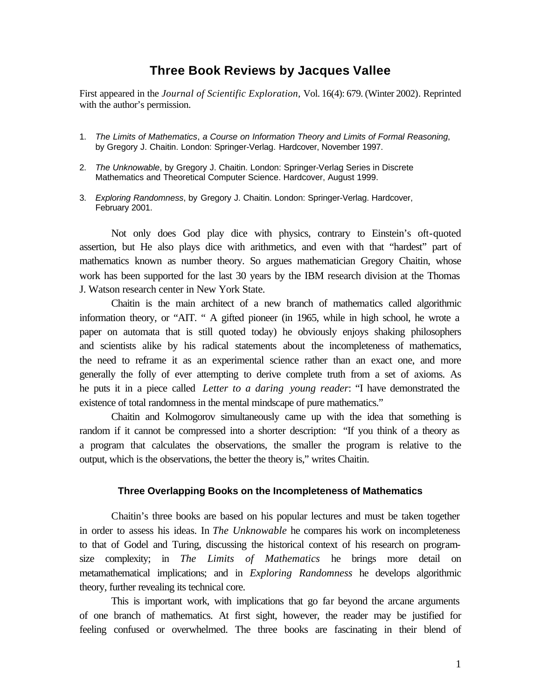## **Three Book Reviews by Jacques Vallee**

First appeared in the *Journal of Scientific Exploration,* Vol. 16(4): 679. (Winter 2002)*.* Reprinted with the author's permission.

- 1. *The Limits of Mathematics*, *a Course on Information Theory and Limits of Formal Reasoning*, by Gregory J. Chaitin. London: Springer-Verlag. Hardcover, November 1997.
- 2. *The Unknowable*, by Gregory J. Chaitin. London: Springer-Verlag Series in Discrete Mathematics and Theoretical Computer Science. Hardcover, August 1999.
- 3. *Exploring Randomness*, by Gregory J. Chaitin. London: Springer-Verlag. Hardcover, February 2001.

Not only does God play dice with physics, contrary to Einstein's oft-quoted assertion, but He also plays dice with arithmetics, and even with that "hardest" part of mathematics known as number theory. So argues mathematician Gregory Chaitin, whose work has been supported for the last 30 years by the IBM research division at the Thomas J. Watson research center in New York State.

Chaitin is the main architect of a new branch of mathematics called algorithmic information theory, or "AIT. " A gifted pioneer (in 1965, while in high school, he wrote a paper on automata that is still quoted today) he obviously enjoys shaking philosophers and scientists alike by his radical statements about the incompleteness of mathematics, the need to reframe it as an experimental science rather than an exact one, and more generally the folly of ever attempting to derive complete truth from a set of axioms. As he puts it in a piece called *Letter to a daring young reader*: "I have demonstrated the existence of total randomness in the mental mindscape of pure mathematics."

Chaitin and Kolmogorov simultaneously came up with the idea that something is random if it cannot be compressed into a shorter description: "If you think of a theory as a program that calculates the observations, the smaller the program is relative to the output, which is the observations, the better the theory is," writes Chaitin.

## **Three Overlapping Books on the Incompleteness of Mathematics**

Chaitin's three books are based on his popular lectures and must be taken together in order to assess his ideas. In *The Unknowable* he compares his work on incompleteness to that of Godel and Turing, discussing the historical context of his research on programsize complexity; in *The Limits of Mathematics* he brings more detail on metamathematical implications; and in *Exploring Randomness* he develops algorithmic theory, further revealing its technical core.

This is important work, with implications that go far beyond the arcane arguments of one branch of mathematics. At first sight, however, the reader may be justified for feeling confused or overwhelmed. The three books are fascinating in their blend of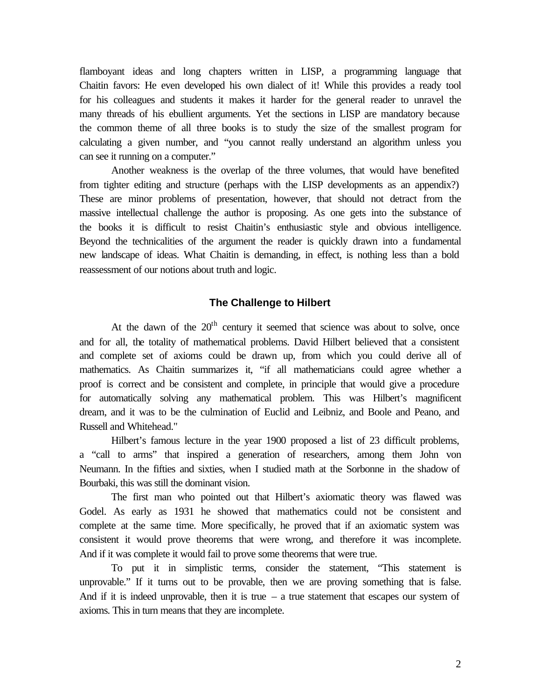flamboyant ideas and long chapters written in LISP, a programming language that Chaitin favors: He even developed his own dialect of it! While this provides a ready tool for his colleagues and students it makes it harder for the general reader to unravel the many threads of his ebullient arguments. Yet the sections in LISP are mandatory because the common theme of all three books is to study the size of the smallest program for calculating a given number, and "you cannot really understand an algorithm unless you can see it running on a computer."

Another weakness is the overlap of the three volumes, that would have benefited from tighter editing and structure (perhaps with the LISP developments as an appendix?) These are minor problems of presentation, however, that should not detract from the massive intellectual challenge the author is proposing. As one gets into the substance of the books it is difficult to resist Chaitin's enthusiastic style and obvious intelligence. Beyond the technicalities of the argument the reader is quickly drawn into a fundamental new landscape of ideas. What Chaitin is demanding, in effect, is nothing less than a bold reassessment of our notions about truth and logic.

## **The Challenge to Hilbert**

At the dawn of the  $20<sup>th</sup>$  century it seemed that science was about to solve, once and for all, the totality of mathematical problems. David Hilbert believed that a consistent and complete set of axioms could be drawn up, from which you could derive all of mathematics. As Chaitin summarizes it, "if all mathematicians could agree whether a proof is correct and be consistent and complete, in principle that would give a procedure for automatically solving any mathematical problem. This was Hilbert's magnificent dream, and it was to be the culmination of Euclid and Leibniz, and Boole and Peano, and Russell and Whitehead."

Hilbert's famous lecture in the year 1900 proposed a list of 23 difficult problems, a "call to arms" that inspired a generation of researchers, among them John von Neumann. In the fifties and sixties, when I studied math at the Sorbonne in the shadow of Bourbaki, this was still the dominant vision.

The first man who pointed out that Hilbert's axiomatic theory was flawed was Godel. As early as 1931 he showed that mathematics could not be consistent and complete at the same time. More specifically, he proved that if an axiomatic system was consistent it would prove theorems that were wrong, and therefore it was incomplete. And if it was complete it would fail to prove some theorems that were true.

To put it in simplistic terms, consider the statement, "This statement is unprovable." If it turns out to be provable, then we are proving something that is false. And if it is indeed unprovable, then it is true  $-$  a true statement that escapes our system of axioms. This in turn means that they are incomplete.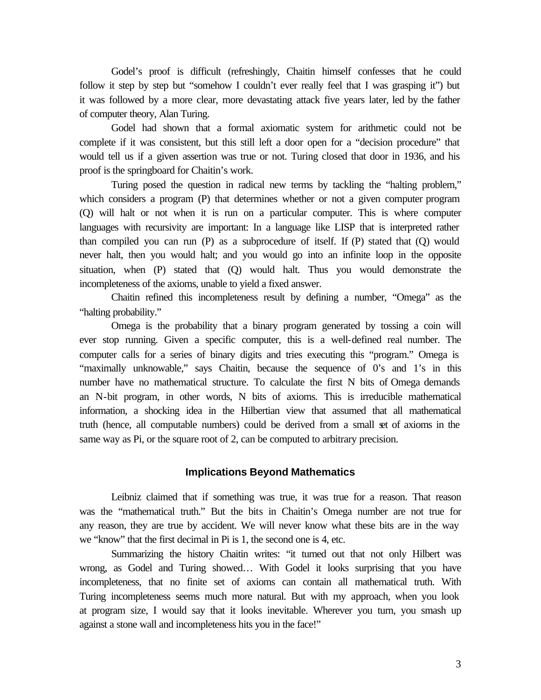Godel's proof is difficult (refreshingly, Chaitin himself confesses that he could follow it step by step but "somehow I couldn't ever really feel that I was grasping it") but it was followed by a more clear, more devastating attack five years later, led by the father of computer theory, Alan Turing.

Godel had shown that a formal axiomatic system for arithmetic could not be complete if it was consistent, but this still left a door open for a "decision procedure" that would tell us if a given assertion was true or not. Turing closed that door in 1936, and his proof is the springboard for Chaitin's work.

Turing posed the question in radical new terms by tackling the "halting problem," which considers a program (P) that determines whether or not a given computer program (Q) will halt or not when it is run on a particular computer. This is where computer languages with recursivity are important: In a language like LISP that is interpreted rather than compiled you can run (P) as a subprocedure of itself. If (P) stated that (Q) would never halt, then you would halt; and you would go into an infinite loop in the opposite situation, when (P) stated that (Q) would halt. Thus you would demonstrate the incompleteness of the axioms, unable to yield a fixed answer.

Chaitin refined this incompleteness result by defining a number, "Omega" as the "halting probability."

Omega is the probability that a binary program generated by tossing a coin will ever stop running. Given a specific computer, this is a well-defined real number. The computer calls for a series of binary digits and tries executing this "program." Omega is "maximally unknowable," says Chaitin, because the sequence of 0's and 1's in this number have no mathematical structure. To calculate the first N bits of Omega demands an N-bit program, in other words, N bits of axioms. This is irreducible mathematical information, a shocking idea in the Hilbertian view that assumed that all mathematical truth (hence, all computable numbers) could be derived from a small set of axioms in the same way as Pi, or the square root of 2, can be computed to arbitrary precision.

## **Implications Beyond Mathematics**

Leibniz claimed that if something was true, it was true for a reason. That reason was the "mathematical truth." But the bits in Chaitin's Omega number are not true for any reason, they are true by accident. We will never know what these bits are in the way we "know" that the first decimal in Pi is 1, the second one is 4, etc.

Summarizing the history Chaitin writes: "it turned out that not only Hilbert was wrong, as Godel and Turing showed… With Godel it looks surprising that you have incompleteness, that no finite set of axioms can contain all mathematical truth. With Turing incompleteness seems much more natural. But with my approach, when you look at program size, I would say that it looks inevitable. Wherever you turn, you smash up against a stone wall and incompleteness hits you in the face!"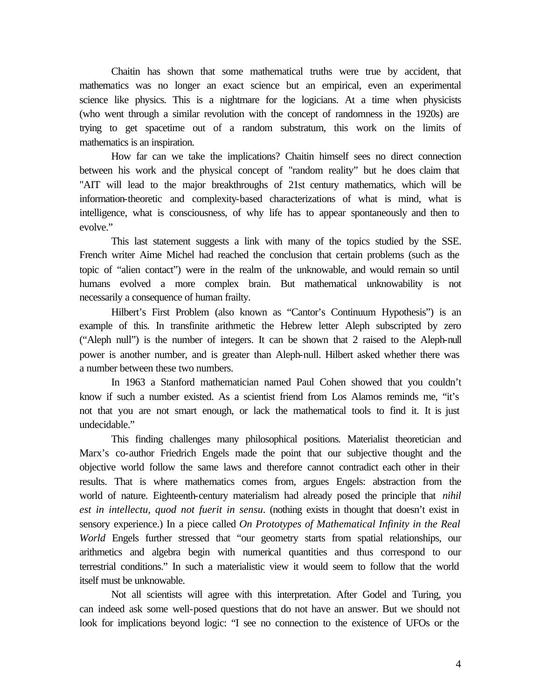Chaitin has shown that some mathematical truths were true by accident, that mathematics was no longer an exact science but an empirical, even an experimental science like physics. This is a nightmare for the logicians. At a time when physicists (who went through a similar revolution with the concept of randomness in the 1920s) are trying to get spacetime out of a random substratum, this work on the limits of mathematics is an inspiration.

How far can we take the implications? Chaitin himself sees no direct connection between his work and the physical concept of "random reality" but he does claim that "AIT will lead to the major breakthroughs of 21st century mathematics, which will be information-theoretic and complexity-based characterizations of what is mind, what is intelligence, what is consciousness, of why life has to appear spontaneously and then to evolve."

This last statement suggests a link with many of the topics studied by the SSE. French writer Aime Michel had reached the conclusion that certain problems (such as the topic of "alien contact") were in the realm of the unknowable, and would remain so until humans evolved a more complex brain. But mathematical unknowability is not necessarily a consequence of human frailty.

Hilbert's First Problem (also known as "Cantor's Continuum Hypothesis") is an example of this. In transfinite arithmetic the Hebrew letter Aleph subscripted by zero ("Aleph null") is the number of integers. It can be shown that 2 raised to the Aleph-null power is another number, and is greater than Aleph-null. Hilbert asked whether there was a number between these two numbers.

In 1963 a Stanford mathematician named Paul Cohen showed that you couldn't know if such a number existed. As a scientist friend from Los Alamos reminds me, "it's not that you are not smart enough, or lack the mathematical tools to find it. It is just undecidable."

This finding challenges many philosophical positions. Materialist theoretician and Marx's co-author Friedrich Engels made the point that our subjective thought and the objective world follow the same laws and therefore cannot contradict each other in their results. That is where mathematics comes from, argues Engels: abstraction from the world of nature. Eighteenth-century materialism had already posed the principle that *nihil est in intellectu, quod not fuerit in sensu*. (nothing exists in thought that doesn't exist in sensory experience.) In a piece called *On Prototypes of Mathematical Infinity in the Real World* Engels further stressed that "our geometry starts from spatial relationships, our arithmetics and algebra begin with numerical quantities and thus correspond to our terrestrial conditions." In such a materialistic view it would seem to follow that the world itself must be unknowable.

Not all scientists will agree with this interpretation. After Godel and Turing, you can indeed ask some well-posed questions that do not have an answer. But we should not look for implications beyond logic: "I see no connection to the existence of UFOs or the